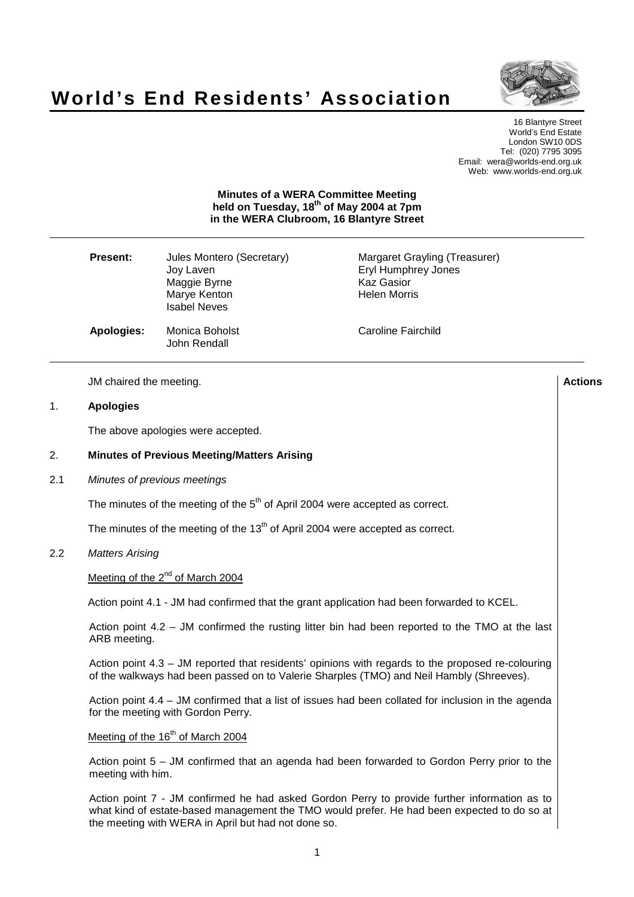# **World's End Residents' Association**



16 Blantyre Street World's End Estate London SW10 0DS Tel: (020) 7795 3095 Email: wera@worlds-end.org.uk Web: www.worlds-end.org.uk

# **Minutes of a WERA Committee Meeting held on Tuesday, 18 th of May 2004 at 7pm in the WERA Clubroom, 16 Blantyre Street**

| <b>Present:</b> | Jules Montero (Secretary)<br>Joy Laven<br>Maggie Byrne<br>Marye Kenton<br><b>Isabel Neves</b> | Margaret Grayling (Treasurer)<br>Eryl Humphrey Jones<br><b>Kaz Gasior</b><br><b>Helen Morris</b> |
|-----------------|-----------------------------------------------------------------------------------------------|--------------------------------------------------------------------------------------------------|
| Apologies:      | Monica Boholst<br>John Rendall                                                                | Caroline Fairchild                                                                               |

JM chaired the meeting. **Actions**

#### 1. **Apologies**

The above apologies were accepted.

# 2. **Minutes of Previous Meeting/Matters Arising**

#### 2.1 Minutes of previous meetings

The minutes of the meeting of the  $5<sup>th</sup>$  of April 2004 were accepted as correct.

The minutes of the meeting of the 13<sup>th</sup> of April 2004 were accepted as correct.

## 2.2 Matters Arising

Meeting of the 2<sup>nd</sup> of March 2004

Action point 4.1 - JM had confirmed that the grant application had been forwarded to KCEL.

Action point 4.2 – JM confirmed the rusting litter bin had been reported to the TMO at the last ARB meeting.

Action point 4.3 – JM reported that residents' opinions with regards to the proposed re-colouring of the walkways had been passed on to Valerie Sharples (TMO) and Neil Hambly (Shreeves).

Action point 4.4 – JM confirmed that a list of issues had been collated for inclusion in the agenda for the meeting with Gordon Perry.

# Meeting of the 16<sup>th</sup> of March 2004

Action point 5 – JM confirmed that an agenda had been forwarded to Gordon Perry prior to the meeting with him.

Action point 7 - JM confirmed he had asked Gordon Perry to provide further information as to what kind of estate-based management the TMO would prefer. He had been expected to do so at the meeting with WERA in April but had not done so.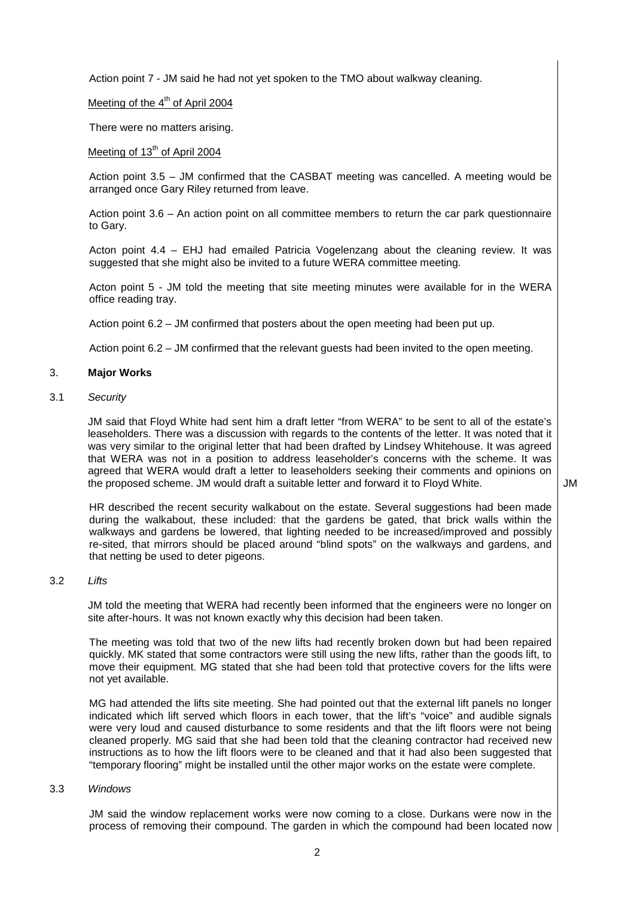Action point 7 - JM said he had not yet spoken to the TMO about walkway cleaning.

# Meeting of the 4<sup>th</sup> of April 2004

There were no matters arising.

# Meeting of 13<sup>th</sup> of April 2004

Action point 3.5 – JM confirmed that the CASBAT meeting was cancelled. A meeting would be arranged once Gary Riley returned from leave.

Action point 3.6 – An action point on all committee members to return the car park questionnaire to Gary.

Acton point 4.4 – EHJ had emailed Patricia Vogelenzang about the cleaning review. It was suggested that she might also be invited to a future WERA committee meeting.

Acton point 5 - JM told the meeting that site meeting minutes were available for in the WERA office reading tray.

Action point 6.2 – JM confirmed that posters about the open meeting had been put up.

Action point 6.2 – JM confirmed that the relevant guests had been invited to the open meeting.

#### 3. **Major Works**

3.1 Security

JM said that Floyd White had sent him a draft letter "from WERA" to be sent to all of the estate's leaseholders. There was a discussion with regards to the contents of the letter. It was noted that it was very similar to the original letter that had been drafted by Lindsey Whitehouse. It was agreed that WERA was not in a position to address leaseholder's concerns with the scheme. It was agreed that WERA would draft a letter to leaseholders seeking their comments and opinions on the proposed scheme. JM would draft a suitable letter and forward it to Floyd White.

JM

HR described the recent security walkabout on the estate. Several suggestions had been made during the walkabout, these included: that the gardens be gated, that brick walls within the walkways and gardens be lowered, that lighting needed to be increased/improved and possibly re-sited, that mirrors should be placed around "blind spots" on the walkways and gardens, and that netting be used to deter pigeons.

# 3.2 Lifts

JM told the meeting that WERA had recently been informed that the engineers were no longer on site after-hours. It was not known exactly why this decision had been taken.

The meeting was told that two of the new lifts had recently broken down but had been repaired quickly. MK stated that some contractors were still using the new lifts, rather than the goods lift, to move their equipment. MG stated that she had been told that protective covers for the lifts were not yet available.

MG had attended the lifts site meeting. She had pointed out that the external lift panels no longer indicated which lift served which floors in each tower, that the lift's "voice" and audible signals were very loud and caused disturbance to some residents and that the lift floors were not being cleaned properly. MG said that she had been told that the cleaning contractor had received new instructions as to how the lift floors were to be cleaned and that it had also been suggested that "temporary flooring" might be installed until the other major works on the estate were complete.

#### 3.3 Windows

JM said the window replacement works were now coming to a close. Durkans were now in the process of removing their compound. The garden in which the compound had been located now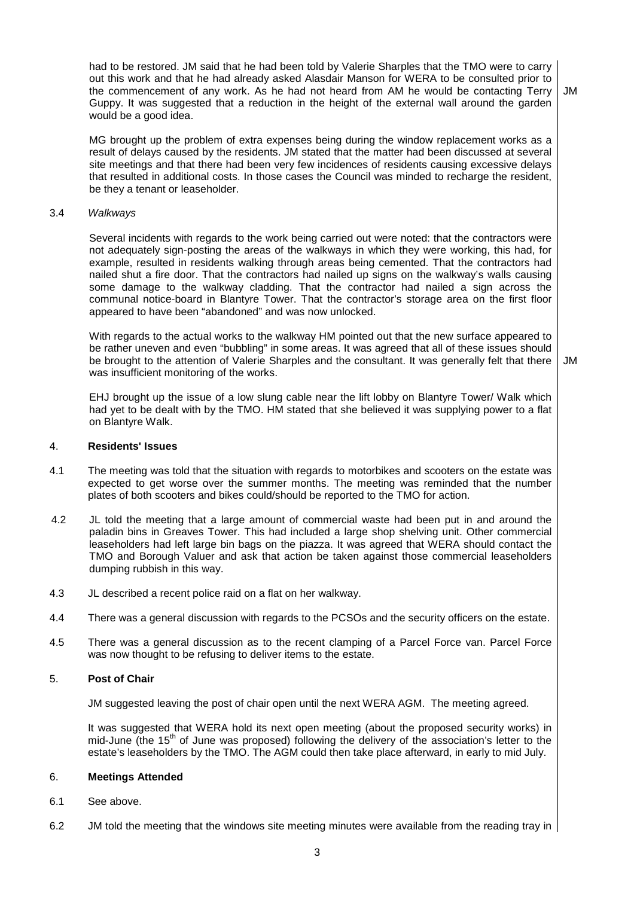had to be restored. JM said that he had been told by Valerie Sharples that the TMO were to carry out this work and that he had already asked Alasdair Manson for WERA to be consulted prior to the commencement of any work. As he had not heard from AM he would be contacting Terry Guppy. It was suggested that a reduction in the height of the external wall around the garden would be a good idea. JM

MG brought up the problem of extra expenses being during the window replacement works as a result of delays caused by the residents. JM stated that the matter had been discussed at several site meetings and that there had been very few incidences of residents causing excessive delays that resulted in additional costs. In those cases the Council was minded to recharge the resident, be they a tenant or leaseholder.

### 3.4 Walkways

Several incidents with regards to the work being carried out were noted: that the contractors were not adequately sign-posting the areas of the walkways in which they were working, this had, for example, resulted in residents walking through areas being cemented. That the contractors had nailed shut a fire door. That the contractors had nailed up signs on the walkway's walls causing some damage to the walkway cladding. That the contractor had nailed a sign across the communal notice-board in Blantyre Tower. That the contractor's storage area on the first floor appeared to have been "abandoned" and was now unlocked.

With regards to the actual works to the walkway HM pointed out that the new surface appeared to be rather uneven and even "bubbling" in some areas. It was agreed that all of these issues should be brought to the attention of Valerie Sharples and the consultant. It was generally felt that there was insufficient monitoring of the works.

JM

EHJ brought up the issue of a low slung cable near the lift lobby on Blantyre Tower/ Walk which had yet to be dealt with by the TMO. HM stated that she believed it was supplying power to a flat on Blantyre Walk.

#### 4. **Residents' Issues**

- 4.1 The meeting was told that the situation with regards to motorbikes and scooters on the estate was expected to get worse over the summer months. The meeting was reminded that the number plates of both scooters and bikes could/should be reported to the TMO for action.
- 4.2 JL told the meeting that a large amount of commercial waste had been put in and around the paladin bins in Greaves Tower. This had included a large shop shelving unit. Other commercial leaseholders had left large bin bags on the piazza. It was agreed that WERA should contact the TMO and Borough Valuer and ask that action be taken against those commercial leaseholders dumping rubbish in this way.
- 4.3 JL described a recent police raid on a flat on her walkway.
- 4.4 There was a general discussion with regards to the PCSOs and the security officers on the estate.
- 4.5 There was a general discussion as to the recent clamping of a Parcel Force van. Parcel Force was now thought to be refusing to deliver items to the estate.

# 5. **Post of Chair**

JM suggested leaving the post of chair open until the next WERA AGM. The meeting agreed.

It was suggested that WERA hold its next open meeting (about the proposed security works) in mid-June (the 15<sup>th</sup> of June was proposed) following the delivery of the association's letter to the estate's leaseholders by the TMO. The AGM could then take place afterward, in early to mid July.

# 6. **Meetings Attended**

- 6.1 See above.
- 6.2 JM told the meeting that the windows site meeting minutes were available from the reading tray in